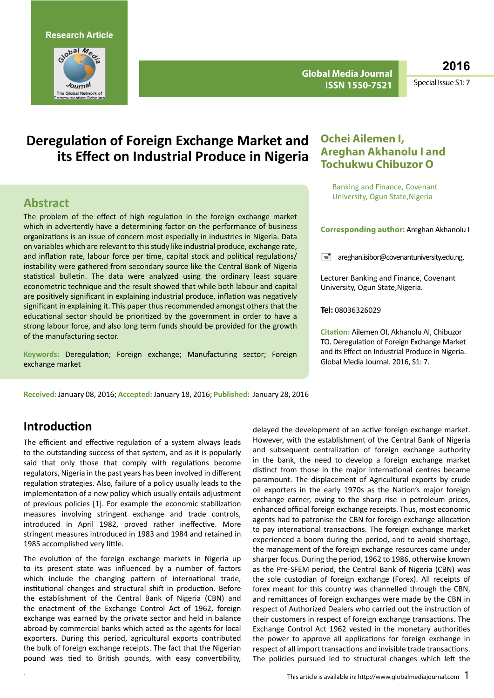

**Global Media Journal ISSN 1550-7521**

**2016**

Special Issue S1: 7

# **Deregulation of Foreign Exchange Market and its Effect on Industrial Produce in Nigeria**

### **Abstract**

The problem of the effect of high regulation in the foreign exchange market which in advertently have a determining factor on the performance of business organizations is an issue of concern most especially in industries in Nigeria. Data on variables which are relevant to this study like industrial produce, exchange rate, and inflation rate, labour force per time, capital stock and political regulations/ instability were gathered from secondary source like the Central Bank of Nigeria statistical bulletin. The data were analyzed using the ordinary least square econometric technique and the result showed that while both labour and capital are positively significant in explaining industrial produce, inflation was negatively significant in explaining it. This paper thus recommended amongst others that the educational sector should be prioritized by the government in order to have a strong labour force, and also long term funds should be provided for the growth of the manufacturing sector.

**Keywords:** Deregulation; Foreign exchange; Manufacturing sector; Foreign exchange market

#### **Received:** January 08, 2016; **Accepted:** January 18, 2016; **Published:** January 28, 2016

### **Ochei Ailemen I, Areghan Akhanolu I and Tochukwu Chibuzor O**

Banking and Finance, Covenant University, Ogun State,Nigeria

#### **Corresponding author:** Areghan Akhanolu I

 $\equiv$  [areghan.isibor@covenantuniversity.edu.ng](mailto:areghan.isibor@covenantuniversity.edu.ng),

Lecturer Banking and Finance, Covenant University, Ogun State,Nigeria.

**Tel:** 08036326029

**Citation:** Ailemen OI, Akhanolu AI, Chibuzor TO. Deregulation of Foreign Exchange Market and its Effect on Industrial Produce in Nigeria. Global Media Journal. 2016, S1: 7.

### **Introduction**

The efficient and effective regulation of a system always leads to the outstanding success of that system, and as it is popularly said that only those that comply with regulations become regulators, Nigeria in the past years has been involved in different regulation strategies. Also, failure of a policy usually leads to the implementation of a new policy which usually entails adjustment of previous policies [1]. For example the economic stabilization measures involving stringent exchange and trade controls, introduced in April 1982, proved rather ineffective. More stringent measures introduced in 1983 and 1984 and retained in 1985 accomplished very little.

The evolution of the foreign exchange markets in Nigeria up to its present state was influenced by a number of factors which include the changing pattern of international trade, institutional changes and structural shift in production. Before the establishment of the Central Bank of Nigeria (CBN) and the enactment of the Exchange Control Act of 1962, foreign exchange was earned by the private sector and held in balance abroad by commercial banks which acted as the agents for local exporters. During this period, agricultural exports contributed the bulk of foreign exchange receipts. The fact that the Nigerian pound was tied to British pounds, with easy convertibility,

delayed the development of an active foreign exchange market. However, with the establishment of the Central Bank of Nigeria and subsequent centralization of foreign exchange authority in the bank, the need to develop a foreign exchange market distinct from those in the major international centres became paramount. The displacement of Agricultural exports by crude oil exporters in the early 1970s as the Nation's major foreign exchange earner, owing to the sharp rise in petroleum prices, enhanced official foreign exchange receipts. Thus, most economic agents had to patronise the CBN for foreign exchange allocation to pay international transactions. The foreign exchange market experienced a boom during the period, and to avoid shortage, the management of the foreign exchange resources came under sharper focus. During the period, 1962 to 1986, otherwise known as the Pre-SFEM period, the Central Bank of Nigeria (CBN) was the sole custodian of foreign exchange (Forex). All receipts of forex meant for this country was channelled through the CBN, and remittances of foreign exchanges were made by the CBN in respect of Authorized Dealers who carried out the instruction of their customers in respect of foreign exchange transactions. The Exchange Control Act 1962 vested in the monetary authorities the power to approve all applications for foreign exchange in respect of all import transactions and invisible trade transactions. The policies pursued led to structural changes which left the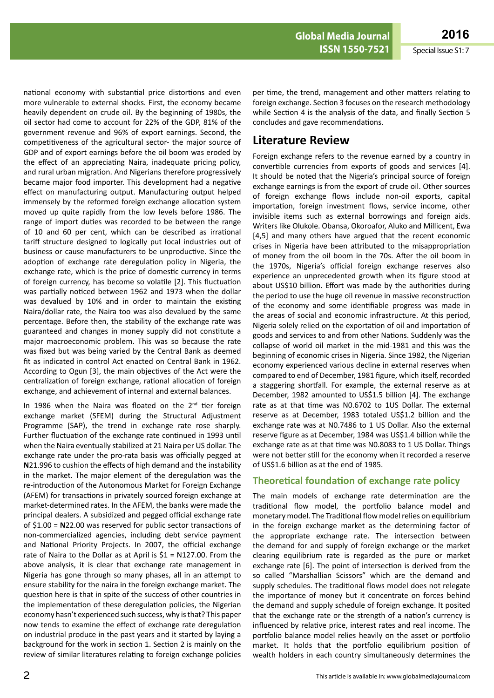national economy with substantial price distortions and even more vulnerable to external shocks. First, the economy became heavily dependent on crude oil. By the beginning of 1980s, the oil sector had come to account for 22% of the GDP, 81% of the government revenue and 96% of export earnings. Second, the competitiveness of the agricultural sector- the major source of GDP and of export earnings before the oil boom was eroded by the effect of an appreciating Naira, inadequate pricing policy, and rural urban migration. And Nigerians therefore progressively became major food importer. This development had a negative effect on manufacturing output. Manufacturing output helped immensely by the reformed foreign exchange allocation system moved up quite rapidly from the low levels before 1986. The range of import duties was recorded to be between the range of 10 and 60 per cent, which can be described as irrational tariff structure designed to logically put local industries out of business or cause manufacturers to be unproductive. Since the adoption of exchange rate deregulation policy in Nigeria, the exchange rate, which is the price of domestic currency in terms of foreign currency, has become so volatile [2]. This fluctuation was partially noticed between 1962 and 1973 when the dollar was devalued by 10% and in order to maintain the existing Naira/dollar rate, the Naira too was also devalued by the same percentage. Before then, the stability of the exchange rate was guaranteed and changes in money supply did not constitute a major macroeconomic problem. This was so because the rate was fixed but was being varied by the Central Bank as deemed fit as indicated in control Act enacted on Central Bank in 1962. According to Ogun [3], the main objectives of the Act were the centralization of foreign exchange, rational allocation of foreign exchange, and achievement of internal and external balances.

In 1986 when the Naira was floated on the 2<sup>nd</sup> tier foreign exchange market (SFEM) during the Structural Adjustment Programme (SAP), the trend in exchange rate rose sharply. Further fluctuation of the exchange rate continued in 1993 until when the Naira eventually stabilized at 21 Naira per US dollar. The exchange rate under the pro-rata basis was officially pegged at **N**21.996 to cushion the effects of high demand and the instability in the market. The major element of the deregulation was the re-introduction of the Autonomous Market for Foreign Exchange (AFEM) for transactions in privately sourced foreign exchange at market-determined rates. In the AFEM, the banks were made the principal dealers. A subsidized and pegged official exchange rate of \$1.00 = **N**22.00 was reserved for public sector transactions of non-commercialized agencies, including debt service payment and National Priority Projects. In 2007, the official exchange rate of Naira to the Dollar as at April is  $$1 = N127.00$ . From the above analysis, it is clear that exchange rate management in Nigeria has gone through so many phases, all in an attempt to ensure stability for the naira in the foreign exchange market. The question here is that in spite of the success of other countries in the implementation of these deregulation policies, the Nigerian economy hasn't experienced such success, why is that? This paper now tends to examine the effect of exchange rate deregulation on industrial produce in the past years and it started by laying a background for the work in section 1. Section 2 is mainly on the review of similar literatures relating to foreign exchange policies

per time, the trend, management and other matters relating to foreign exchange. Section 3 focuses on the research methodology while Section 4 is the analysis of the data, and finally Section 5 concludes and gave recommendations.

## **Literature Review**

Foreign exchange refers to the revenue earned by a country in convertible currencies from exports of goods and services [4]. It should be noted that the Nigeria's principal source of foreign exchange earnings is from the export of crude oil. Other sources of foreign exchange flows include non-oil exports, capital importation, foreign investment flows, service income, other invisible items such as external borrowings and foreign aids. Writers like Olukole. Obansa, Okoroafor, Aluko and Millicent, Ewa [4,5] and many others have argued that the recent economic crises in Nigeria have been attributed to the misappropriation of money from the oil boom in the 70s. After the oil boom in the 1970s, Nigeria's official foreign exchange reserves also experience an unprecedented growth when its figure stood at about US\$10 billion. Effort was made by the authorities during the period to use the huge oil revenue in massive reconstruction of the economy and some identifiable progress was made in the areas of social and economic infrastructure. At this period, Nigeria solely relied on the exportation of oil and importation of goods and services to and from other Nations. Suddenly was the collapse of world oil market in the mid-1981 and this was the beginning of economic crises in Nigeria. Since 1982, the Nigerian economy experienced various decline in external reserves when compared to end of December, 1981 figure, which itself, recorded a staggering shortfall. For example, the external reserve as at December, 1982 amounted to US\$1.5 billion [4]. The exchange rate as at that time was N0.6702 to 1US Dollar. The external reserve as at December, 1983 totaled US\$1.2 billion and the exchange rate was at N0.7486 to 1 US Dollar. Also the external reserve figure as at December, 1984 was US\$1.4 billion while the exchange rate as at that time was N0.8083 to 1 US Dollar. Things were not better still for the economy when it recorded a reserve of US\$1.6 billion as at the end of 1985.

### **Theoretical foundation of exchange rate policy**

The main models of exchange rate determination are the traditional flow model, the portfolio balance model and monetary model. The Traditional flow model relies on equilibrium in the foreign exchange market as the determining factor of the appropriate exchange rate. The intersection between the demand for and supply of foreign exchange or the market clearing equilibrium rate is regarded as the pure or market exchange rate [6]. The point of intersection is derived from the so called "Marshallian Scissors" which are the demand and supply schedules. The traditional flows model does not relegate the importance of money but it concentrate on forces behind the demand and supply schedule of foreign exchange. It posited that the exchange rate or the strength of a nation's currency is influenced by relative price, interest rates and real income. The portfolio balance model relies heavily on the asset or portfolio market. It holds that the portfolio equilibrium position of wealth holders in each country simultaneously determines the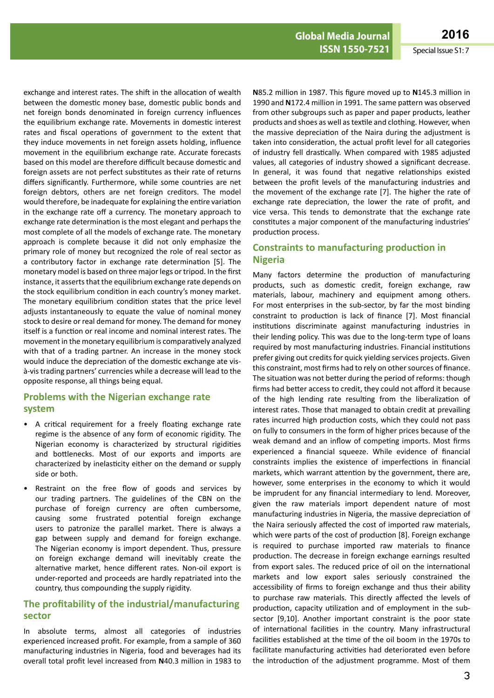exchange and interest rates. The shift in the allocation of wealth between the domestic money base, domestic public bonds and net foreign bonds denominated in foreign currency influences the equilibrium exchange rate. Movements in domestic interest rates and fiscal operations of government to the extent that they induce movements in net foreign assets holding, influence movement in the equilibrium exchange rate. Accurate forecasts based on this model are therefore difficult because domestic and foreign assets are not perfect substitutes as their rate of returns differs significantly. Furthermore, while some countries are net foreign debtors, others are net foreign creditors. The model would therefore, be inadequate for explaining the entire variation in the exchange rate off a currency. The monetary approach to exchange rate determination is the most elegant and perhaps the most complete of all the models of exchange rate. The monetary approach is complete because it did not only emphasize the primary role of money but recognized the role of real sector as a contributory factor in exchange rate determination [5]. The monetary model is based on three major legs or tripod. In the first instance, it asserts that the equilibrium exchange rate depends on the stock equilibrium condition in each country's money market. The monetary equilibrium condition states that the price level adjusts instantaneously to equate the value of nominal money stock to desire or real demand for money. The demand for money itself is a function or real income and nominal interest rates. The movement in the monetary equilibrium is comparatively analyzed with that of a trading partner. An increase in the money stock would induce the depreciation of the domestic exchange ate visà-vis trading partners' currencies while a decrease will lead to the opposite response, all things being equal.

### **Problems with the Nigerian exchange rate system**

- A critical requirement for a freely floating exchange rate regime is the absence of any form of economic rigidity. The Nigerian economy is characterized by structural rigidities and bottlenecks. Most of our exports and imports are characterized by inelasticity either on the demand or supply side or both.
- Restraint on the free flow of goods and services by our trading partners. The guidelines of the CBN on the purchase of foreign currency are often cumbersome, causing some frustrated potential foreign exchange users to patronize the parallel market. There is always a gap between supply and demand for foreign exchange. The Nigerian economy is import dependent. Thus, pressure on foreign exchange demand will inevitably create the alternative market, hence different rates. Non-oil export is under-reported and proceeds are hardly repatriated into the country, thus compounding the supply rigidity.

### **The profitability of the industrial/manufacturing sector**

In absolute terms, almost all categories of industries experienced increased profit. For example, from a sample of 360 manufacturing industries in Nigeria, food and beverages had its overall total profit level increased from **N**40.3 million in 1983 to

**N**85.2 million in 1987. This figure moved up to **N**145.3 million in 1990 and **N**172.4 million in 1991. The same pattern was observed from other subgroups such as paper and paper products, leather products and shoes as well as textile and clothing. However, when the massive depreciation of the Naira during the adjustment is taken into consideration, the actual profit level for all categories of industry fell drastically. When compared with 1985 adjusted values, all categories of industry showed a significant decrease. In general, it was found that negative relationships existed between the profit levels of the manufacturing industries and the movement of the exchange rate [7]. The higher the rate of exchange rate depreciation, the lower the rate of profit, and vice versa. This tends to demonstrate that the exchange rate constitutes a major component of the manufacturing industries' production process.

### **Constraints to manufacturing production in Nigeria**

Many factors determine the production of manufacturing products, such as domestic credit, foreign exchange, raw materials, labour, machinery and equipment among others. For most enterprises in the sub-sector, by far the most binding constraint to production is lack of finance [7]. Most financial institutions discriminate against manufacturing industries in their lending policy. This was due to the long-term type of loans required by most manufacturing industries. Financial institutions prefer giving out credits for quick yielding services projects. Given this constraint, most firms had to rely on other sources of finance. The situation was not better during the period of reforms: though firms had better access to credit, they could not afford it because of the high lending rate resulting from the liberalization of interest rates. Those that managed to obtain credit at prevailing rates incurred high production costs, which they could not pass on fully to consumers in the form of higher prices because of the weak demand and an inflow of competing imports. Most firms experienced a financial squeeze. While evidence of financial constraints implies the existence of imperfections in financial markets, which warrant attention by the government, there are, however, some enterprises in the economy to which it would be imprudent for any financial intermediary to lend. Moreover, given the raw materials import dependent nature of most manufacturing industries in Nigeria, the massive depreciation of the Naira seriously affected the cost of imported raw materials, which were parts of the cost of production [8]. Foreign exchange is required to purchase imported raw materials to finance production. The decrease in foreign exchange earnings resulted from export sales. The reduced price of oil on the international markets and low export sales seriously constrained the accessibility of firms to foreign exchange and thus their ability to purchase raw materials. This directly affected the levels of production, capacity utilization and of employment in the subsector [9,10]. Another important constraint is the poor state of international facilities in the country. Many infrastructural facilities established at the time of the oil boom in the 1970s to facilitate manufacturing activities had deteriorated even before the introduction of the adjustment programme. Most of them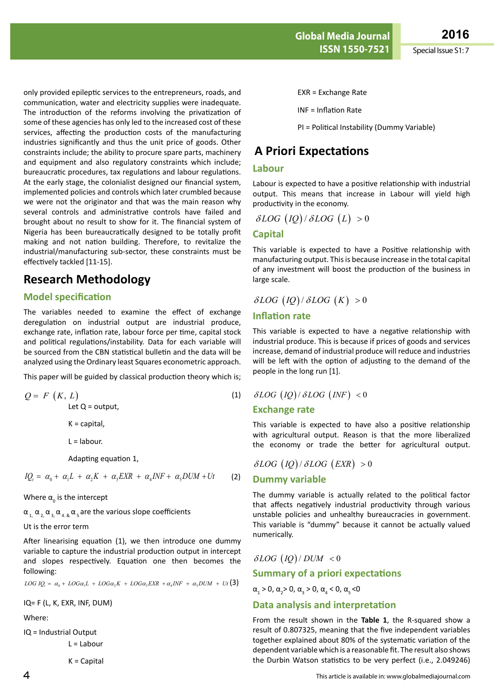only provided epileptic services to the entrepreneurs, roads, and communication, water and electricity supplies were inadequate. The introduction of the reforms involving the privatization of some of these agencies has only led to the increased cost of these services, affecting the production costs of the manufacturing industries significantly and thus the unit price of goods. Other constraints include; the ability to procure spare parts, machinery and equipment and also regulatory constraints which include; bureaucratic procedures, tax regulations and labour regulations. At the early stage, the colonialist designed our financial system, implemented policies and controls which later crumbled because we were not the originator and that was the main reason why several controls and administrative controls have failed and brought about no result to show for it. The financial system of Nigeria has been bureaucratically designed to be totally profit making and not nation building. Therefore, to revitalize the industrial/manufacturing sub-sector, these constraints must be effectively tackled [11-15].

## **Research Methodology**

### **Model specification**

The variables needed to examine the effect of exchange deregulation on industrial output are industrial produce, exchange rate, inflation rate, labour force per time, capital stock and political regulations/instability. Data for each variable will be sourced from the CBN statistical bulletin and the data will be analyzed using the Ordinary least Squares econometric approach.

This paper will be guided by classical production theory which is;

 $Q = F(K, L)$  (1) Let  $Q =$  output,

 $K =$  capital,

 $L =$  labour.

Adapting equation 1,

$$
IQ_{t} = \alpha_{0} + \alpha_{1}L + \alpha_{2}K + \alpha_{3}EXR + \alpha_{4}INF + \alpha_{5}DUM + Ut
$$
 (2)

Where  $\alpha_{_0}$  is the intercept

 $\alpha_{1}, \alpha_{2}, \alpha_{3}, \alpha_{4,8}, \alpha_{5}$  are the various slope coefficients

#### Ut is the error term

After linearising equation (1), we then introduce one dummy variable to capture the industrial production output in intercept and slopes respectively. Equation one then becomes the following:

 $LOG~IQ_t = \alpha_0 + LOG\alpha_1L + LOG\alpha_2K + LOG\alpha_3EXR + \alpha_4INF + \alpha_5DUM + Ut$  (3)

IQ= F (L, K, EXR, INF, DUM)

Where:

IQ = Industrial Output

 $L =$ Labour

K = Capital

EXR = Exchange Rate

INF = Inflation Rate

PI = Political Instability (Dummy Variable)

# **A Priori Expectations**

### **Labour**

Labour is expected to have a positive relationship with industrial output. This means that increase in Labour will yield high productivity in the economy.

$$
\delta LOG (IQ)/\delta LOG (L) > 0
$$

### **Capital**

This variable is expected to have a Positive relationship with manufacturing output. This is because increase in the total capital of any investment will boost the production of the business in large scale.

 $\delta LOG (IQ)/\delta LOG (K) > 0$ 

### **Inflation rate**

This variable is expected to have a negative relationship with industrial produce. This is because if prices of goods and services increase, demand of industrial produce will reduce and industries will be left with the option of adjusting to the demand of the people in the long run [1].

$$
\delta LOG (IQ)/\delta LOG (INF) < 0
$$

### **Exchange rate**

This variable is expected to have also a positive relationship with agricultural output. Reason is that the more liberalized the economy or trade the better for agricultural output.

 $\delta LOG (IO)/\delta LOG (EXR) > 0$ 

#### **Dummy variable**

The dummy variable is actually related to the political factor that affects negatively industrial productivity through various unstable policies and unhealthy bureaucracies in government. This variable is "dummy" because it cannot be actually valued numerically.

 $\delta LOG$  (*IO*)/*DUM* < 0

### **Summary of a priori expectations**

 $\alpha_{1}$  > 0,  $\alpha_{2}$  > 0,  $\alpha_{3}$  > 0,  $\alpha_{4}$  < 0,  $\alpha_{5}$  < 0

### **Data analysis and interpretation**

From the result shown in the **Table 1**, the R-squared show a result of 0.807325, meaning that the five independent variables together explained about 80% of the systematic variation of the dependent variable which is a reasonable fit. The result also shows the Durbin Watson statistics to be very perfect (i.e., 2.049246)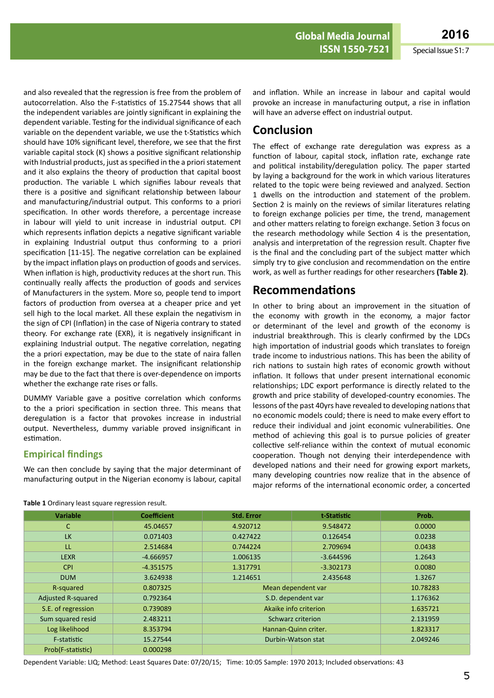**ISSN 1550-7521** Special Issue S1: 7

**ARCHIVOS DE MEDICINA Global Media Journal 2016**

and also revealed that the regression is free from the problem of autocorrelation. Also the F-statistics of 15.27544 shows that all the independent variables are jointly significant in explaining the dependent variable. Testing for the individual significance of each variable on the dependent variable, we use the t-Statistics which should have 10% significant level, therefore, we see that the first variable capital stock (K) shows a positive significant relationship with Industrial products, just as specified in the a priori statement and it also explains the theory of production that capital boost production. The variable L which signifies labour reveals that there is a positive and significant relationship between labour and manufacturing/industrial output. This conforms to a priori specification. In other words therefore, a percentage increase in labour will yield to unit increase in industrial output. CPI which represents inflation depicts a negative significant variable in explaining Industrial output thus conforming to a priori specification [11-15]. The negative correlation can be explained by the impact inflation plays on production of goods and services. When inflation is high, productivity reduces at the short run. This continually really affects the production of goods and services of Manufacturers in the system. More so, people tend to import factors of production from oversea at a cheaper price and yet sell high to the local market. All these explain the negativism in the sign of CPI (Inflation) in the case of Nigeria contrary to stated theory. For exchange rate (EXR), it is negatively insignificant in explaining Industrial output. The negative correlation, negating the a priori expectation, may be due to the state of naira fallen in the foreign exchange market. The insignificant relationship may be due to the fact that there is over-dependence on imports whether the exchange rate rises or falls.

DUMMY Variable gave a positive correlation which conforms to the a priori specification in section three. This means that deregulation is a factor that provokes increase in industrial output. Nevertheless, dummy variable proved insignificant in estimation.

### **Empirical findings**

We can then conclude by saying that the major determinant of manufacturing output in the Nigerian economy is labour, capital

and inflation. While an increase in labour and capital would provoke an increase in manufacturing output, a rise in inflation will have an adverse effect on industrial output.

# **Conclusion**

The effect of exchange rate deregulation was express as a function of labour, capital stock, inflation rate, exchange rate and political instability/deregulation policy. The paper started by laying a background for the work in which various literatures related to the topic were being reviewed and analyzed. Section 1 dwells on the introduction and statement of the problem. Section 2 is mainly on the reviews of similar literatures relating to foreign exchange policies per time, the trend, management and other matters relating to foreign exchange. Setion 3 focus on the research methodology while Section 4 is the presentation, analysis and interpretation of the regression result. Chapter five is the final and the concluding part of the subject matter which simply try to give conclusion and recommendation on the entire work, as well as further readings for other researchers **(Table 2)**.

## **Recommendations**

In other to bring about an improvement in the situation of the economy with growth in the economy, a major factor or determinant of the level and growth of the economy is industrial breakthrough. This is clearly confirmed by the LDCs high importation of industrial goods which translates to foreign trade income to industrious nations. This has been the ability of rich nations to sustain high rates of economic growth without inflation. It follows that under present international economic relationships; LDC export performance is directly related to the growth and price stability of developed-country economies. The lessons of the past 40yrs have revealed to developing nations that no economic models could; there is need to make every effort to reduce their individual and joint economic vulnerabilities. One method of achieving this goal is to pursue policies of greater collective self-reliance within the context of mutual economic cooperation. Though not denying their interdependence with developed nations and their need for growing export markets, many developing countries now realize that in the absence of major reforms of the international economic order, a concerted

| <b>Variable</b>           | <b>Coefficient</b> | <b>Std. Error</b>       | t-Statistic | Prob.    |  |
|---------------------------|--------------------|-------------------------|-------------|----------|--|
| C.                        | 45.04657           | 4.920712                | 9.548472    | 0.0000   |  |
| <b>LK</b>                 | 0.071403           | 0.427422                | 0.126454    | 0.0238   |  |
| LL.                       | 2.514684           | 0.744224                | 2.709694    | 0.0438   |  |
| <b>LEXR</b>               | $-4.666957$        | $-3.644596$<br>1.006135 |             | 1.2643   |  |
| <b>CPI</b>                | $-4.351575$        | 1.317791                | $-3.302173$ | 0.0080   |  |
| <b>DUM</b>                | 3.624938           | 1.214651                | 2.435648    | 1.3267   |  |
| R-squared                 | 0.807325           | Mean dependent var      |             | 10.78283 |  |
| <b>Adjusted R-squared</b> | 0.792364           | S.D. dependent var      | 1.176362    |          |  |
| S.E. of regression        | 0.739089           | Akaike info criterion   | 1.635721    |          |  |
| Sum squared resid         | 2.483211           | Schwarz criterion       | 2.131959    |          |  |
| Log likelihood            | 8.353794           | Hannan-Quinn criter.    | 1.823317    |          |  |
| F-statistic               | 15.27544           | Durbin-Watson stat      | 2.049246    |          |  |
| Prob(F-statistic)         | 0.000298           |                         |             |          |  |

**Table 1** Ordinary least square regression result.

Dependent Variable: LIQ; Method: Least Squares Date: 07/20/15; Time: 10:05 Sample: 1970 2013; Included observations: 43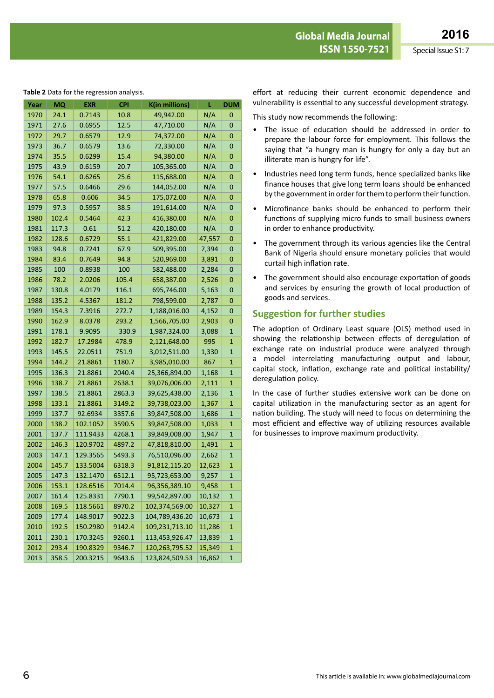**ISSN 1550-7521** Special Issue S1: 7

**Table 2** Data for the regression analysis.

| Year | <b>MQ</b> | EXR      | <b>CPI</b> | K(in millions) | L.     | DUM          |
|------|-----------|----------|------------|----------------|--------|--------------|
| 1970 | 24.1      | 0.7143   | 10.8       | 49,942.00      | N/A    | 0            |
| 1971 | 27.6      | 0.6955   | 12.5       | 47,710.00      | N/A    | 0            |
| 1972 | 29.7      | 0.6579   | 12.9       | 74,372.00      | N/A    | 0            |
| 1973 | 36.7      | 0.6579   | 13.6       | 72,330.00      | N/A    | 0            |
| 1974 | 35.5      | 0.6299   | 15.4       | 94,380.00      | N/A    | 0            |
| 1975 | 43.9      | 0.6159   | 20.7       | 105,365.00     | N/A    | 0            |
| 1976 | 54.1      | 0.6265   | 25.6       | 115,688.00     | N/A    | 0            |
| 1977 | 57.5      | 0.6466   | 29.6       | 144,052.00     | N/A    | 0            |
| 1978 | 65.8      | 0.606    | 34.5       | 175,072.00     | N/A    | 0            |
| 1979 | 97.3      | 0.5957   | 38.5       | 191,614.00     | N/A    | 0            |
| 1980 | 102.4     | 0.5464   | 42.3       | 416,380.00     | N/A    | 0            |
| 1981 | 117.3     | 0.61     | 51.2       | 420,180.00     | N/A    | 0            |
| 1982 | 128.6     | 0.6729   | 55.1       | 421,829.00     | 47,557 | 0            |
| 1983 | 94.8      | 0.7241   | 67.9       | 509,395.00     | 7,394  | 0            |
| 1984 | 83.4      | 0.7649   | 94.8       | 520,969.00     | 3,891  | 0            |
| 1985 | 100       | 0.8938   | 100        | 582,488.00     | 2,284  | 0            |
| 1986 | 78.2      | 2.0206   | 105.4      | 658,387.00     | 2,526  | 0            |
| 1987 | 130.8     | 4.0179   | 116.1      | 695,746.00     | 5,163  | 0            |
| 1988 | 135.2     | 4.5367   | 181.2      | 798,599.00     | 2,787  | 0            |
| 1989 | 154.3     | 7.3916   | 272.7      | 1,188,016.00   | 4,152  | 0            |
| 1990 | 162.9     | 8.0378   | 293.2      | 1,566,705.00   | 2,903  | 0            |
| 1991 | 178.1     | 9.9095   | 330.9      | 1,987,324.00   | 3,088  | 1            |
| 1992 | 182.7     | 17.2984  | 478.9      | 2,121,648.00   | 995    | 1            |
| 1993 | 145.5     | 22.0511  | 751.9      | 3,012,511.00   | 1,330  | 1            |
| 1994 | 144.2     | 21.8861  | 1180.7     | 3,985,010.00   | 867    | 1            |
| 1995 | 136.3     | 21.8861  | 2040.4     | 25,366,894.00  | 1,168  | 1            |
| 1996 | 138.7     | 21.8861  | 2638.1     | 39,076,006.00  | 2,111  | 1            |
| 1997 | 138.5     | 21.8861  | 2863.3     | 39,625,438.00  | 2,136  | 1            |
| 1998 | 133.1     | 21.8861  | 3149.2     | 39,738,023.00  | 1,367  | 1            |
| 1999 | 137.7     | 92.6934  | 3357.6     | 39,847,508.00  | 1,686  | 1            |
| 2000 | 138.2     | 102.1052 | 3590.5     | 39,847,508.00  | 1,033  | 1            |
| 2001 | 137.7     | 111.9433 | 4268.1     | 39,849,008.00  | 1,947  | 1            |
| 2002 | 146.3     | 120.9702 | 4897.2     | 47,818,810.00  | 1,491  | 1            |
| 2003 | 147.1     | 129.3565 | 5493.3     | 76,510,096.00  | 2,662  | 1            |
| 2004 | 145.7     | 133.5004 | 6318.3     | 91,812,115.20  | 12,623 | 1            |
| 2005 | 147.3     | 132.1470 | 6512.1     | 95,723,653.00  | 9,257  | $\mathbf{1}$ |
| 2006 | 153.1     | 128.6516 | 7014.4     | 96,356,389.10  | 9,458  | 1            |
| 2007 | 161.4     | 125.8331 | 7790.1     | 99,542,897.00  | 10,132 | $\mathbf{1}$ |
| 2008 | 169.5     | 118.5661 | 8970.2     | 102,374,569.00 | 10,327 | $\mathbf{1}$ |
| 2009 | 177.4     | 148.9017 | 9022.3     | 104,789,436.20 | 10,673 | $\mathbf{1}$ |
| 2010 | 192.5     | 150.2980 | 9142.4     | 109,231,713.10 | 11,286 | 1            |
| 2011 | 230.1     | 170.3245 | 9260.1     | 113,453,926.47 | 13,839 | 1            |
| 2012 | 293.4     | 190.8329 | 9346.7     | 120,263,795.52 | 15,349 | $\mathbf{1}$ |
| 2013 | 358.5     | 200.3215 | 9643.6     | 123,824,509.53 | 16,862 | $\mathbf{1}$ |

effort at reducing their current economic dependence and vulnerability is essential to any successful development strategy.

This study now recommends the following:

- The issue of education should be addressed in order to prepare the labour force for employment. This follows the saying that "a hungry man is hungry for only a day but an illiterate man is hungry for life".
- Industries need long term funds, hence specialized banks like finance houses that give long term loans should be enhanced by the government in order for them to perform their function.
- Microfinance banks should be enhanced to perform their functions of supplying micro funds to small business owners in order to enhance productivity.
- The government through its various agencies like the Central Bank of Nigeria should ensure monetary policies that would curtail high inflation rate.
- The government should also encourage exportation of goods and services by ensuring the growth of local production of goods and services.

### **Suggestion for further studies**

The adoption of Ordinary Least square (OLS) method used in showing the relationship between effects of deregulation of exchange rate on industrial produce were analyzed through a model interrelating manufacturing output and labour, capital stock, inflation, exchange rate and political instability/ deregulation policy.

In the case of further studies extensive work can be done on capital utilization in the manufacturing sector as an agent for nation building. The study will need to focus on determining the most efficient and effective way of utilizing resources available for businesses to improve maximum productivity.